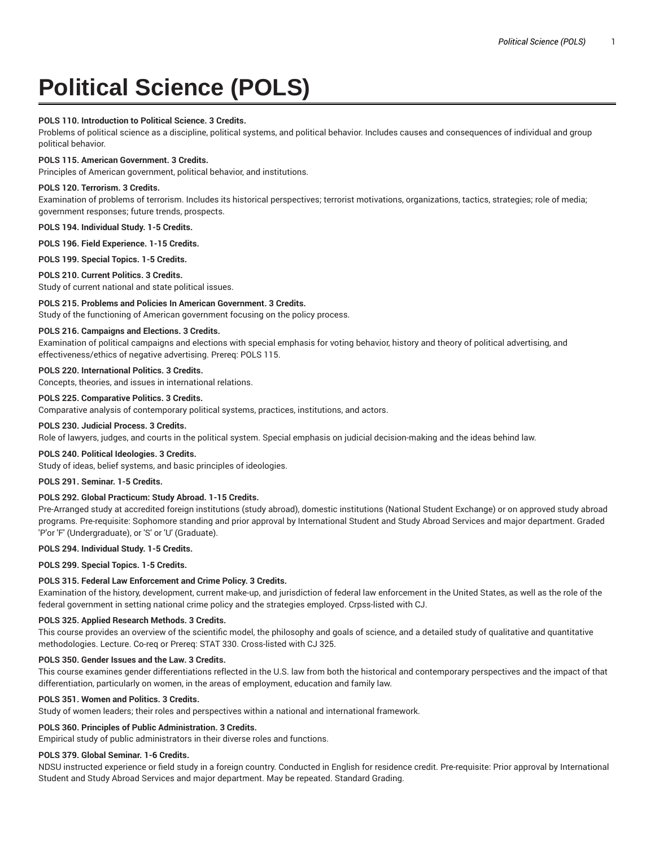# **Political Science (POLS)**

## **POLS 110. Introduction to Political Science. 3 Credits.**

Problems of political science as a discipline, political systems, and political behavior. Includes causes and consequences of individual and group political behavior.

## **POLS 115. American Government. 3 Credits.**

Principles of American government, political behavior, and institutions.

## **POLS 120. Terrorism. 3 Credits.**

Examination of problems of terrorism. Includes its historical perspectives; terrorist motivations, organizations, tactics, strategies; role of media; government responses; future trends, prospects.

**POLS 194. Individual Study. 1-5 Credits.**

**POLS 196. Field Experience. 1-15 Credits.**

**POLS 199. Special Topics. 1-5 Credits.**

## **POLS 210. Current Politics. 3 Credits.**

Study of current national and state political issues.

## **POLS 215. Problems and Policies In American Government. 3 Credits.**

Study of the functioning of American government focusing on the policy process.

## **POLS 216. Campaigns and Elections. 3 Credits.**

Examination of political campaigns and elections with special emphasis for voting behavior, history and theory of political advertising, and effectiveness/ethics of negative advertising. Prereq: POLS 115.

# **POLS 220. International Politics. 3 Credits.**

Concepts, theories, and issues in international relations.

# **POLS 225. Comparative Politics. 3 Credits.**

Comparative analysis of contemporary political systems, practices, institutions, and actors.

## **POLS 230. Judicial Process. 3 Credits.**

Role of lawyers, judges, and courts in the political system. Special emphasis on judicial decision-making and the ideas behind law.

## **POLS 240. Political Ideologies. 3 Credits.**

Study of ideas, belief systems, and basic principles of ideologies.

## **POLS 291. Seminar. 1-5 Credits.**

## **POLS 292. Global Practicum: Study Abroad. 1-15 Credits.**

Pre-Arranged study at accredited foreign institutions (study abroad), domestic institutions (National Student Exchange) or on approved study abroad programs. Pre-requisite: Sophomore standing and prior approval by International Student and Study Abroad Services and major department. Graded 'P'or 'F' (Undergraduate), or 'S' or 'U' (Graduate).

#### **POLS 294. Individual Study. 1-5 Credits.**

**POLS 299. Special Topics. 1-5 Credits.**

## **POLS 315. Federal Law Enforcement and Crime Policy. 3 Credits.**

Examination of the history, development, current make-up, and jurisdiction of federal law enforcement in the United States, as well as the role of the federal government in setting national crime policy and the strategies employed. Crpss-listed with CJ.

#### **POLS 325. Applied Research Methods. 3 Credits.**

This course provides an overview of the scientific model, the philosophy and goals of science, and a detailed study of qualitative and quantitative methodologies. Lecture. Co-req or Prereq: STAT 330. Cross-listed with CJ 325.

#### **POLS 350. Gender Issues and the Law. 3 Credits.**

This course examines gender differentiations reflected in the U.S. law from both the historical and contemporary perspectives and the impact of that differentiation, particularly on women, in the areas of employment, education and family law.

#### **POLS 351. Women and Politics. 3 Credits.**

Study of women leaders; their roles and perspectives within a national and international framework.

#### **POLS 360. Principles of Public Administration. 3 Credits.**

Empirical study of public administrators in their diverse roles and functions.

#### **POLS 379. Global Seminar. 1-6 Credits.**

NDSU instructed experience or field study in a foreign country. Conducted in English for residence credit. Pre-requisite: Prior approval by International Student and Study Abroad Services and major department. May be repeated. Standard Grading.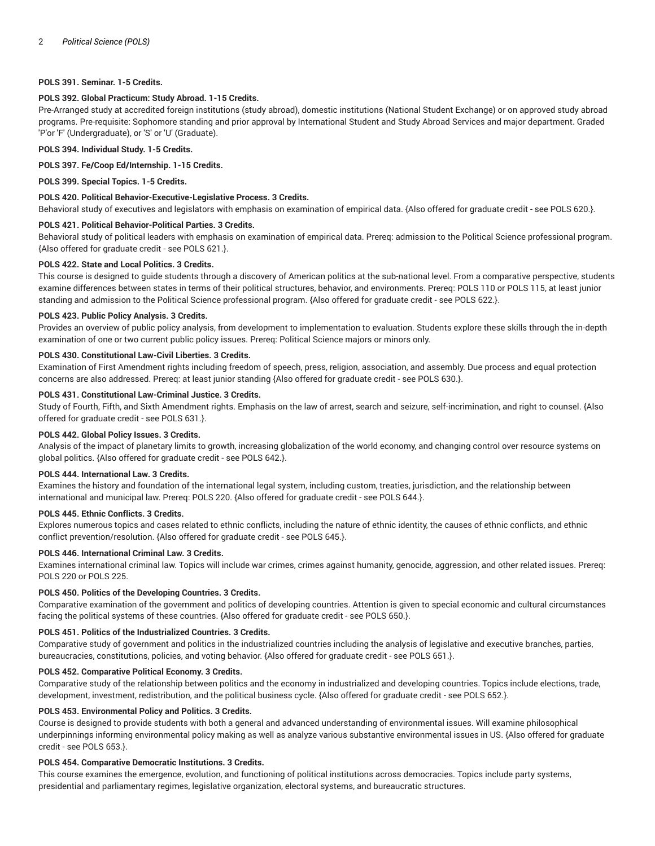## **POLS 391. Seminar. 1-5 Credits.**

## **POLS 392. Global Practicum: Study Abroad. 1-15 Credits.**

Pre-Arranged study at accredited foreign institutions (study abroad), domestic institutions (National Student Exchange) or on approved study abroad programs. Pre-requisite: Sophomore standing and prior approval by International Student and Study Abroad Services and major department. Graded 'P'or 'F' (Undergraduate), or 'S' or 'U' (Graduate).

#### **POLS 394. Individual Study. 1-5 Credits.**

#### **POLS 397. Fe/Coop Ed/Internship. 1-15 Credits.**

**POLS 399. Special Topics. 1-5 Credits.**

## **POLS 420. Political Behavior-Executive-Legislative Process. 3 Credits.**

Behavioral study of executives and legislators with emphasis on examination of empirical data. {Also offered for graduate credit - see POLS 620.}.

#### **POLS 421. Political Behavior-Political Parties. 3 Credits.**

Behavioral study of political leaders with emphasis on examination of empirical data. Prereq: admission to the Political Science professional program. {Also offered for graduate credit - see POLS 621.}.

## **POLS 422. State and Local Politics. 3 Credits.**

This course is designed to guide students through a discovery of American politics at the sub-national level. From a comparative perspective, students examine differences between states in terms of their political structures, behavior, and environments. Prereq: POLS 110 or POLS 115, at least junior standing and admission to the Political Science professional program. {Also offered for graduate credit - see POLS 622.}.

## **POLS 423. Public Policy Analysis. 3 Credits.**

Provides an overview of public policy analysis, from development to implementation to evaluation. Students explore these skills through the in-depth examination of one or two current public policy issues. Prereq: Political Science majors or minors only.

## **POLS 430. Constitutional Law-Civil Liberties. 3 Credits.**

Examination of First Amendment rights including freedom of speech, press, religion, association, and assembly. Due process and equal protection concerns are also addressed. Prereq: at least junior standing {Also offered for graduate credit - see POLS 630.}.

## **POLS 431. Constitutional Law-Criminal Justice. 3 Credits.**

Study of Fourth, Fifth, and Sixth Amendment rights. Emphasis on the law of arrest, search and seizure, self-incrimination, and right to counsel. {Also offered for graduate credit - see POLS 631.}.

#### **POLS 442. Global Policy Issues. 3 Credits.**

Analysis of the impact of planetary limits to growth, increasing globalization of the world economy, and changing control over resource systems on global politics. {Also offered for graduate credit - see POLS 642.}.

## **POLS 444. International Law. 3 Credits.**

Examines the history and foundation of the international legal system, including custom, treaties, jurisdiction, and the relationship between international and municipal law. Prereq: POLS 220. {Also offered for graduate credit - see POLS 644.}.

#### **POLS 445. Ethnic Conflicts. 3 Credits.**

Explores numerous topics and cases related to ethnic conflicts, including the nature of ethnic identity, the causes of ethnic conflicts, and ethnic conflict prevention/resolution. {Also offered for graduate credit - see POLS 645.}.

## **POLS 446. International Criminal Law. 3 Credits.**

Examines international criminal law. Topics will include war crimes, crimes against humanity, genocide, aggression, and other related issues. Prereq: POLS 220 or POLS 225.

## **POLS 450. Politics of the Developing Countries. 3 Credits.**

Comparative examination of the government and politics of developing countries. Attention is given to special economic and cultural circumstances facing the political systems of these countries. {Also offered for graduate credit - see POLS 650.}.

#### **POLS 451. Politics of the Industrialized Countries. 3 Credits.**

Comparative study of government and politics in the industrialized countries including the analysis of legislative and executive branches, parties, bureaucracies, constitutions, policies, and voting behavior. {Also offered for graduate credit - see POLS 651.}.

#### **POLS 452. Comparative Political Economy. 3 Credits.**

Comparative study of the relationship between politics and the economy in industrialized and developing countries. Topics include elections, trade, development, investment, redistribution, and the political business cycle. {Also offered for graduate credit - see POLS 652.}.

# **POLS 453. Environmental Policy and Politics. 3 Credits.**

Course is designed to provide students with both a general and advanced understanding of environmental issues. Will examine philosophical underpinnings informing environmental policy making as well as analyze various substantive environmental issues in US. {Also offered for graduate credit - see POLS 653.}.

#### **POLS 454. Comparative Democratic Institutions. 3 Credits.**

This course examines the emergence, evolution, and functioning of political institutions across democracies. Topics include party systems, presidential and parliamentary regimes, legislative organization, electoral systems, and bureaucratic structures.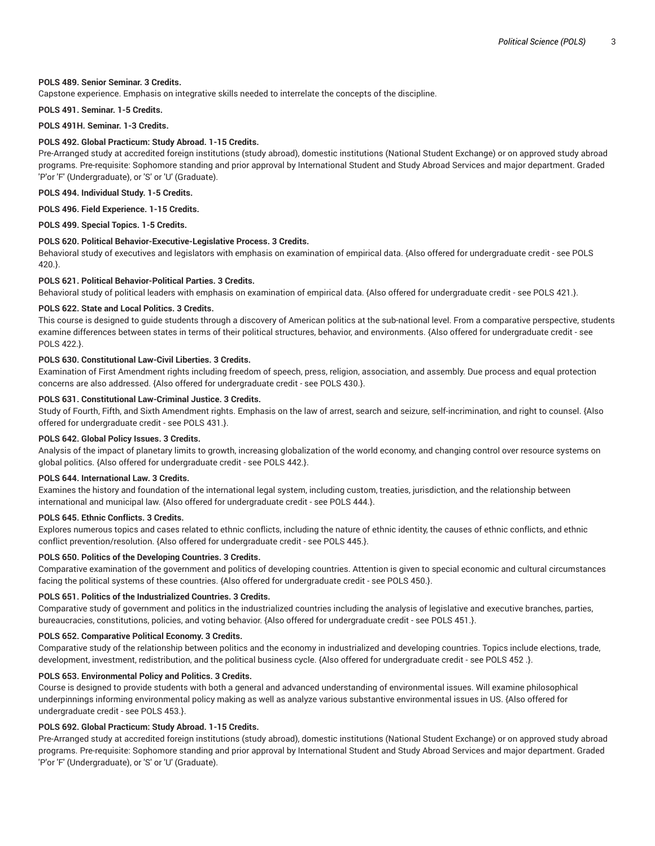## **POLS 489. Senior Seminar. 3 Credits.**

Capstone experience. Emphasis on integrative skills needed to interrelate the concepts of the discipline.

**POLS 491. Seminar. 1-5 Credits.**

**POLS 491H. Seminar. 1-3 Credits.**

## **POLS 492. Global Practicum: Study Abroad. 1-15 Credits.**

Pre-Arranged study at accredited foreign institutions (study abroad), domestic institutions (National Student Exchange) or on approved study abroad programs. Pre-requisite: Sophomore standing and prior approval by International Student and Study Abroad Services and major department. Graded 'P'or 'F' (Undergraduate), or 'S' or 'U' (Graduate).

**POLS 494. Individual Study. 1-5 Credits.**

**POLS 496. Field Experience. 1-15 Credits.**

**POLS 499. Special Topics. 1-5 Credits.**

## **POLS 620. Political Behavior-Executive-Legislative Process. 3 Credits.**

Behavioral study of executives and legislators with emphasis on examination of empirical data. {Also offered for undergraduate credit - see POLS 420.}.

## **POLS 621. Political Behavior-Political Parties. 3 Credits.**

Behavioral study of political leaders with emphasis on examination of empirical data. {Also offered for undergraduate credit - see POLS 421.}.

## **POLS 622. State and Local Politics. 3 Credits.**

This course is designed to guide students through a discovery of American politics at the sub-national level. From a comparative perspective, students examine differences between states in terms of their political structures, behavior, and environments. {Also offered for undergraduate credit - see POLS 422.}.

## **POLS 630. Constitutional Law-Civil Liberties. 3 Credits.**

Examination of First Amendment rights including freedom of speech, press, religion, association, and assembly. Due process and equal protection concerns are also addressed. {Also offered for undergraduate credit - see POLS 430.}.

## **POLS 631. Constitutional Law-Criminal Justice. 3 Credits.**

Study of Fourth, Fifth, and Sixth Amendment rights. Emphasis on the law of arrest, search and seizure, self-incrimination, and right to counsel. {Also offered for undergraduate credit - see POLS 431.}.

#### **POLS 642. Global Policy Issues. 3 Credits.**

Analysis of the impact of planetary limits to growth, increasing globalization of the world economy, and changing control over resource systems on global politics. {Also offered for undergraduate credit - see POLS 442.}.

#### **POLS 644. International Law. 3 Credits.**

Examines the history and foundation of the international legal system, including custom, treaties, jurisdiction, and the relationship between international and municipal law. {Also offered for undergraduate credit - see POLS 444.}.

## **POLS 645. Ethnic Conflicts. 3 Credits.**

Explores numerous topics and cases related to ethnic conflicts, including the nature of ethnic identity, the causes of ethnic conflicts, and ethnic conflict prevention/resolution. {Also offered for undergraduate credit - see POLS 445.}.

## **POLS 650. Politics of the Developing Countries. 3 Credits.**

Comparative examination of the government and politics of developing countries. Attention is given to special economic and cultural circumstances facing the political systems of these countries. {Also offered for undergraduate credit - see POLS 450.}.

#### **POLS 651. Politics of the Industrialized Countries. 3 Credits.**

Comparative study of government and politics in the industrialized countries including the analysis of legislative and executive branches, parties, bureaucracies, constitutions, policies, and voting behavior. {Also offered for undergraduate credit - see POLS 451.}.

## **POLS 652. Comparative Political Economy. 3 Credits.**

Comparative study of the relationship between politics and the economy in industrialized and developing countries. Topics include elections, trade, development, investment, redistribution, and the political business cycle. {Also offered for undergraduate credit - see POLS 452 .}.

## **POLS 653. Environmental Policy and Politics. 3 Credits.**

Course is designed to provide students with both a general and advanced understanding of environmental issues. Will examine philosophical underpinnings informing environmental policy making as well as analyze various substantive environmental issues in US. {Also offered for undergraduate credit - see POLS 453.}.

# **POLS 692. Global Practicum: Study Abroad. 1-15 Credits.**

Pre-Arranged study at accredited foreign institutions (study abroad), domestic institutions (National Student Exchange) or on approved study abroad programs. Pre-requisite: Sophomore standing and prior approval by International Student and Study Abroad Services and major department. Graded 'P'or 'F' (Undergraduate), or 'S' or 'U' (Graduate).